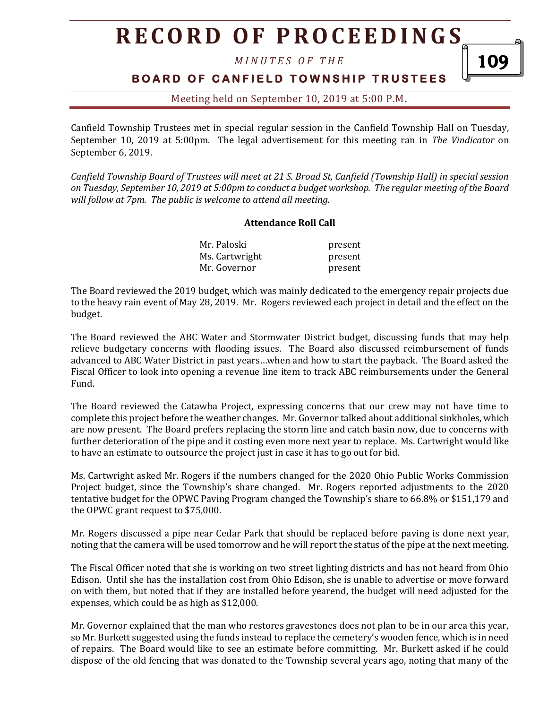# **R E C O R D O F P R O C E E D I N GS**

*M I N U T E S O F T H E* 

#### **B O A R D O F C A N F I E L D T O W N S H I P T R U S T E E S**

109

Meeting held on September 10, 2019 at 5:00 P.M**.**

Canfield Township Trustees met in special regular session in the Canfield Township Hall on Tuesday, September 10, 2019 at 5:00pm. The legal advertisement for this meeting ran in *The Vindicator* on September 6, 2019.

*Canfield Township Board of Trustees will meet at 21 S. Broad St, Canfield (Township Hall) in special session on Tuesday, September 10, 2019 at 5:00pm to conduct a budget workshop. The regular meeting of the Board will follow at 7pm. The public is welcome to attend all meeting.*

#### **Attendance Roll Call**

| Mr. Paloski    | present |
|----------------|---------|
| Ms. Cartwright | present |
| Mr. Governor   | present |

The Board reviewed the 2019 budget, which was mainly dedicated to the emergency repair projects due to the heavy rain event of May 28, 2019. Mr. Rogers reviewed each project in detail and the effect on the budget.

The Board reviewed the ABC Water and Stormwater District budget, discussing funds that may help relieve budgetary concerns with flooding issues. The Board also discussed reimbursement of funds advanced to ABC Water District in past years…when and how to start the payback. The Board asked the Fiscal Officer to look into opening a revenue line item to track ABC reimbursements under the General Fund.

The Board reviewed the Catawba Project, expressing concerns that our crew may not have time to complete this project before the weather changes. Mr. Governor talked about additional sinkholes, which are now present. The Board prefers replacing the storm line and catch basin now, due to concerns with further deterioration of the pipe and it costing even more next year to replace. Ms. Cartwright would like to have an estimate to outsource the project just in case it has to go out for bid.

Ms. Cartwright asked Mr. Rogers if the numbers changed for the 2020 Ohio Public Works Commission Project budget, since the Township's share changed. Mr. Rogers reported adjustments to the 2020 tentative budget for the OPWC Paving Program changed the Township's share to 66.8% or \$151,179 and the OPWC grant request to \$75,000.

Mr. Rogers discussed a pipe near Cedar Park that should be replaced before paving is done next year, noting that the camera will be used tomorrow and he will report the status of the pipe at the next meeting.

The Fiscal Officer noted that she is working on two street lighting districts and has not heard from Ohio Edison. Until she has the installation cost from Ohio Edison, she is unable to advertise or move forward on with them, but noted that if they are installed before yearend, the budget will need adjusted for the expenses, which could be as high as \$12,000.

Mr. Governor explained that the man who restores gravestones does not plan to be in our area this year, so Mr. Burkett suggested using the funds instead to replace the cemetery's wooden fence, which is in need of repairs. The Board would like to see an estimate before committing. Mr. Burkett asked if he could dispose of the old fencing that was donated to the Township several years ago, noting that many of the